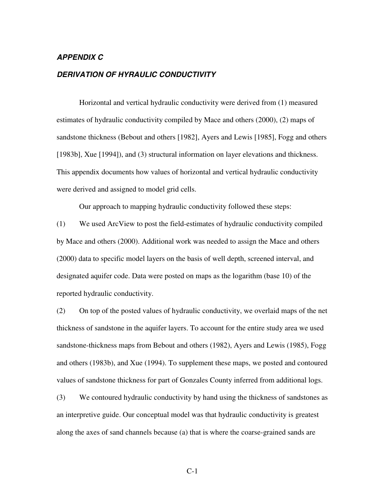## *APPENDIX C*

## *DERIVATION OF HYRAULIC CONDUCTIVITY*

Horizontal and vertical hydraulic conductivity were derived from (1) measured estimates of hydraulic conductivity compiled by Mace and others (2000), (2) maps of sandstone thickness (Bebout and others [1982], Ayers and Lewis [1985], Fogg and others [1983b], Xue [1994]), and (3) structural information on layer elevations and thickness. This appendix documents how values of horizontal and vertical hydraulic conductivity were derived and assigned to model grid cells.

Our approach to mapping hydraulic conductivity followed these steps:

(1) We used ArcView to post the field-estimates of hydraulic conductivity compiled by Mace and others (2000). Additional work was needed to assign the Mace and others (2000) data to specific model layers on the basis of well depth, screened interval, and designated aquifer code. Data were posted on maps as the logarithm (base 10) of the reported hydraulic conductivity.

(2) On top of the posted values of hydraulic conductivity, we overlaid maps of the net thickness of sandstone in the aquifer layers. To account for the entire study area we used sandstone-thickness maps from Bebout and others (1982), Ayers and Lewis (1985), Fogg and others (1983b), and Xue (1994). To supplement these maps, we posted and contoured values of sandstone thickness for part of Gonzales County inferred from additional logs.

(3) We contoured hydraulic conductivity by hand using the thickness of sandstones as an interpretive guide. Our conceptual model was that hydraulic conductivity is greatest along the axes of sand channels because (a) that is where the coarse-grained sands are

C-1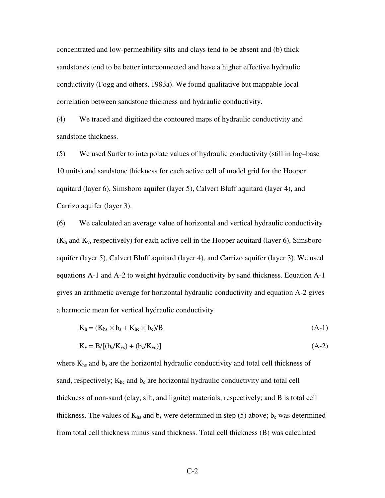concentrated and low-permeability silts and clays tend to be absent and (b) thick sandstones tend to be better interconnected and have a higher effective hydraulic conductivity (Fogg and others, 1983a). We found qualitative but mappable local correlation between sandstone thickness and hydraulic conductivity.

(4) We traced and digitized the contoured maps of hydraulic conductivity and sandstone thickness.

(5) We used Surfer to interpolate values of hydraulic conductivity (still in log–base 10 units) and sandstone thickness for each active cell of model grid for the Hooper aquitard (layer 6), Simsboro aquifer (layer 5), Calvert Bluff aquitard (layer 4), and Carrizo aquifer (layer 3).

(6) We calculated an average value of horizontal and vertical hydraulic conductivity  $(K_h$  and  $K_v$ , respectively) for each active cell in the Hooper aquitard (layer 6), Simsboro aquifer (layer 5), Calvert Bluff aquitard (layer 4), and Carrizo aquifer (layer 3). We used equations A-1 and A-2 to weight hydraulic conductivity by sand thickness. Equation A-1 gives an arithmetic average for horizontal hydraulic conductivity and equation A-2 gives a harmonic mean for vertical hydraulic conductivity

$$
K_h = (K_{hs} \times b_s + K_{hc} \times b_c)/B \tag{A-1}
$$

$$
K_v = B/[(b_s/K_{vs}) + (b_c/K_{vc})]
$$
 (A-2)

where  $K_{hs}$  and  $b_s$  are the horizontal hydraulic conductivity and total cell thickness of sand, respectively;  $K_{hc}$  and  $b_c$  are horizontal hydraulic conductivity and total cell thickness of non-sand (clay, silt, and lignite) materials, respectively; and B is total cell thickness. The values of  $K_{hs}$  and  $b_s$  were determined in step (5) above;  $b_c$  was determined from total cell thickness minus sand thickness. Total cell thickness (B) was calculated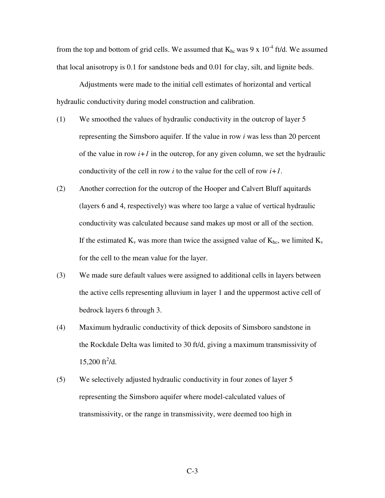from the top and bottom of grid cells. We assumed that  $K_{hc}$  was 9 x 10<sup>-4</sup> ft/d. We assumed that local anisotropy is 0.1 for sandstone beds and 0.01 for clay, silt, and lignite beds.

Adjustments were made to the initial cell estimates of horizontal and vertical hydraulic conductivity during model construction and calibration.

- (1) We smoothed the values of hydraulic conductivity in the outcrop of layer 5 representing the Simsboro aquifer. If the value in row *i* was less than 20 percent of the value in row  $i+1$  in the outcrop, for any given column, we set the hydraulic conductivity of the cell in row *i* to the value for the cell of row *i+1*.
- (2) Another correction for the outcrop of the Hooper and Calvert Bluff aquitards (layers 6 and 4, respectively) was where too large a value of vertical hydraulic conductivity was calculated because sand makes up most or all of the section. If the estimated  $K_v$  was more than twice the assigned value of  $K_{hc}$ , we limited  $K_v$ for the cell to the mean value for the layer.
- (3) We made sure default values were assigned to additional cells in layers between the active cells representing alluvium in layer 1 and the uppermost active cell of bedrock layers 6 through 3.
- (4) Maximum hydraulic conductivity of thick deposits of Simsboro sandstone in the Rockdale Delta was limited to 30 ft/d, giving a maximum transmissivity of  $15,200 \text{ ft}^2/\text{d}$ .
- (5) We selectively adjusted hydraulic conductivity in four zones of layer 5 representing the Simsboro aquifer where model-calculated values of transmissivity, or the range in transmissivity, were deemed too high in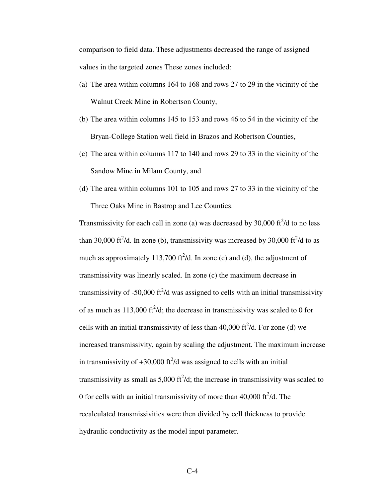comparison to field data. These adjustments decreased the range of assigned values in the targeted zones These zones included:

- (a) The area within columns 164 to 168 and rows 27 to 29 in the vicinity of the Walnut Creek Mine in Robertson County,
- (b) The area within columns 145 to 153 and rows 46 to 54 in the vicinity of the Bryan-College Station well field in Brazos and Robertson Counties,
- (c) The area within columns 117 to 140 and rows 29 to 33 in the vicinity of the Sandow Mine in Milam County, and
- (d) The area within columns 101 to 105 and rows 27 to 33 in the vicinity of the Three Oaks Mine in Bastrop and Lee Counties.

Transmissivity for each cell in zone (a) was decreased by 30,000 ft $^2$ /d to no less than 30,000 ft<sup>2</sup>/d. In zone (b), transmissivity was increased by 30,000 ft<sup>2</sup>/d to as much as approximately 113,700 ft<sup>2</sup>/d. In zone (c) and (d), the adjustment of transmissivity was linearly scaled. In zone (c) the maximum decrease in transmissivity of -50,000 ft $^2$ /d was assigned to cells with an initial transmissivity of as much as  $113,000$  ft<sup>2</sup>/d; the decrease in transmissivity was scaled to 0 for cells with an initial transmissivity of less than  $40,000$  ft<sup>2</sup>/d. For zone (d) we increased transmissivity, again by scaling the adjustment. The maximum increase in transmissivity of  $+30,000$  ft<sup>2</sup>/d was assigned to cells with an initial transmissivity as small as  $5,000$  ft<sup>2</sup>/d; the increase in transmissivity was scaled to 0 for cells with an initial transmissivity of more than  $40,000$  ft $^2$ /d. The recalculated transmissivities were then divided by cell thickness to provide hydraulic conductivity as the model input parameter.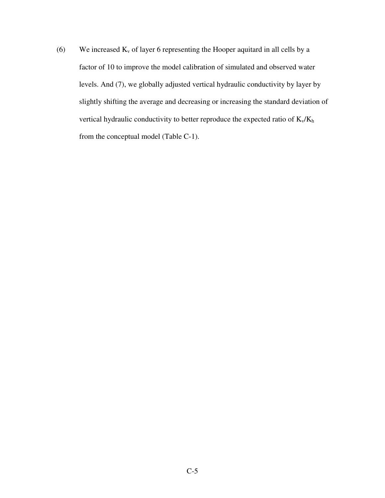(6) We increased  $K_v$  of layer 6 representing the Hooper aquitard in all cells by a factor of 10 to improve the model calibration of simulated and observed water levels. And (7), we globally adjusted vertical hydraulic conductivity by layer by slightly shifting the average and decreasing or increasing the standard deviation of vertical hydraulic conductivity to better reproduce the expected ratio of  $K_v/K_h$ from the conceptual model (Table C-1).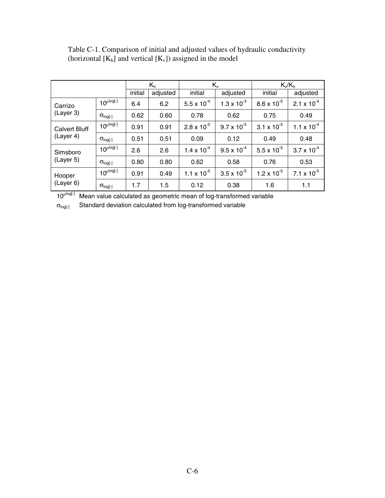|                                   |                   | $K_h$   |          | $K_{v}$              |                      | $K_v/K_h$            |                      |
|-----------------------------------|-------------------|---------|----------|----------------------|----------------------|----------------------|----------------------|
|                                   |                   | initial | adjusted | initial              | adjusted             | initial              | adjusted             |
| Carrizo<br>(Layer 3)              | $10^{\mu log[-]}$ | 6.4     | 6.2      | $5.5 \times 10^{-4}$ | $1.3 \times 10^{-3}$ | $8.6 \times 10^{-5}$ | $2.1 \times 10^{-4}$ |
|                                   | $\sigma_{log[-]}$ | 0.62    | 0.60     | 0.78                 | 0.62                 | 0.75                 | 0.49                 |
| <b>Calvert Bluff</b><br>(Layer 4) | $10^{\mu log[-]}$ | 0.91    | 0.91     | $2.8 \times 10^{-5}$ | $9.7 \times 10^{-5}$ | $3.1 \times 10^{-5}$ | $1.1 \times 10^{-4}$ |
|                                   | $\sigma_{log[-]}$ | 0.51    | 0.51     | 0.09                 | 0.12                 | 0.49                 | 0.48                 |
| Simsboro<br>(Layer 5)             | $10^{\mu log[-]}$ | 2.6     | 2.6      | $1.4 \times 10^{-4}$ | $9.5 \times 10^{-4}$ | $5.5 \times 10^{-5}$ | $3.7 \times 10^{-4}$ |
|                                   | $\sigma_{log[-]}$ | 0.80    | 0.80     | 0.62                 | 0.58                 | 0.76                 | 0.53                 |
| Hooper<br>(Layer 6)               | $10^{\mu log[-]}$ | 0.91    | 0.49     | $1.1 \times 10^{-5}$ | $3.5 \times 10^{-5}$ | $1.2 \times 10^{-5}$ | 7.1 x $10^{-5}$      |
|                                   | $\sigma_{log[-]}$ | 1.7     | 1.5      | 0.12                 | 0.38                 | 1.6                  | 1.1                  |

Table C-1. Comparison of initial and adjusted values of hydraulic conductivity (horizontal  $[K_h]$  and vertical  $[K_v]$ ) assigned in the model

10<sup>Llog[-]</sup> Mean value calculated as geometric mean of log-transformed variable

 $\sigma_{log[\cdot]}$  Standard deviation calculated from log-transformed variable